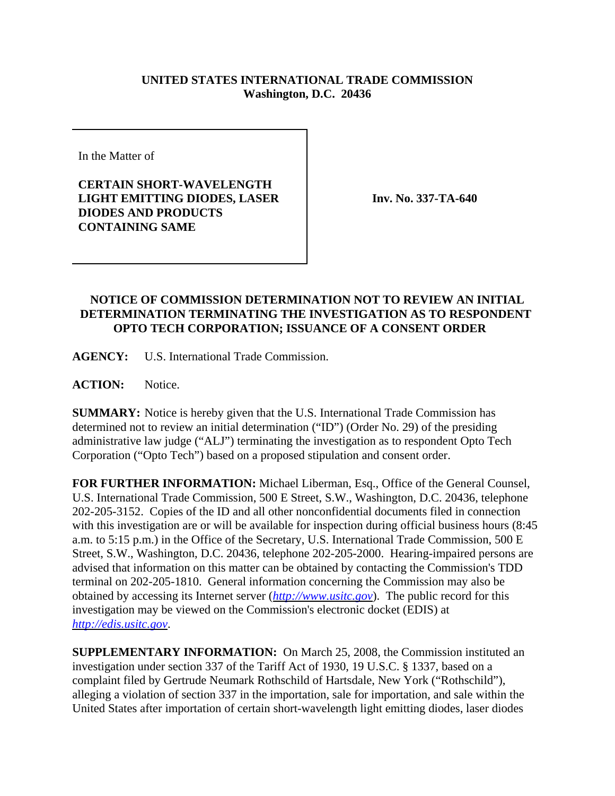## **UNITED STATES INTERNATIONAL TRADE COMMISSION Washington, D.C. 20436**

In the Matter of

**CERTAIN SHORT-WAVELENGTH LIGHT EMITTING DIODES, LASER DIODES AND PRODUCTS CONTAINING SAME**

**Inv. No. 337-TA-640**

## **NOTICE OF COMMISSION DETERMINATION NOT TO REVIEW AN INITIAL DETERMINATION TERMINATING THE INVESTIGATION AS TO RESPONDENT OPTO TECH CORPORATION; ISSUANCE OF A CONSENT ORDER**

**AGENCY:** U.S. International Trade Commission.

**ACTION:** Notice.

**SUMMARY:** Notice is hereby given that the U.S. International Trade Commission has determined not to review an initial determination ("ID") (Order No. 29) of the presiding administrative law judge ("ALJ") terminating the investigation as to respondent Opto Tech Corporation ("Opto Tech") based on a proposed stipulation and consent order.

**FOR FURTHER INFORMATION:** Michael Liberman, Esq., Office of the General Counsel, U.S. International Trade Commission, 500 E Street, S.W., Washington, D.C. 20436, telephone 202-205-3152. Copies of the ID and all other nonconfidential documents filed in connection with this investigation are or will be available for inspection during official business hours (8:45 a.m. to 5:15 p.m.) in the Office of the Secretary, U.S. International Trade Commission, 500 E Street, S.W., Washington, D.C. 20436, telephone 202-205-2000. Hearing-impaired persons are advised that information on this matter can be obtained by contacting the Commission's TDD terminal on 202-205-1810. General information concerning the Commission may also be obtained by accessing its Internet server (*http://www.usitc.gov*). The public record for this investigation may be viewed on the Commission's electronic docket (EDIS) at *http://edis.usitc.gov*.

**SUPPLEMENTARY INFORMATION:** On March 25, 2008, the Commission instituted an investigation under section 337 of the Tariff Act of 1930, 19 U.S.C. § 1337, based on a complaint filed by Gertrude Neumark Rothschild of Hartsdale, New York ("Rothschild"), alleging a violation of section 337 in the importation, sale for importation, and sale within the United States after importation of certain short-wavelength light emitting diodes, laser diodes